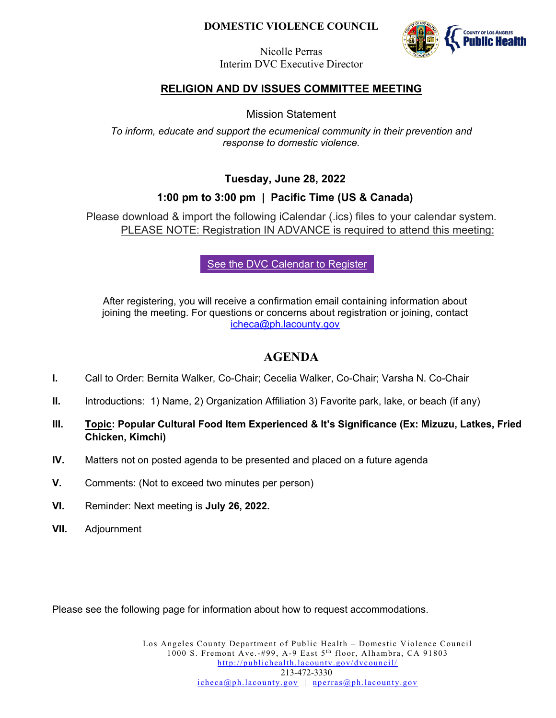## **DOMESTIC VIOLENCE COUNCIL**



Nicolle Perras Interim DVC Executive Director

## **RELIGION AND DV ISSUES COMMITTEE MEETING**

Mission Statement

*To inform, educate and support the ecumenical community in their prevention and response to domestic violence.*

**Tuesday, June 28, 2022**

## **1:00 pm to 3:00 pm | Pacific Time (US & Canada)**

Please download & import the following iCalendar (.ics) files to your calendar system. PLEASE NOTE: Registration IN ADVANCE is required to attend this meeting:

[See the DVC Calendar to Register](http://publichealth.lacounty.gov/dvcouncil/calendar/calendar.htm)

After registering, you will receive a confirmation email containing information about joining the meeting. For questions or concerns about registration or joining, contact [icheca@ph.lacounty.gov](mailto:jcooper@ph.lacounty.gov)

## **AGENDA**

- **I.** Call to Order: Bernita Walker, Co-Chair; Cecelia Walker, Co-Chair; Varsha N. Co-Chair
- **II.** Introductions: 1) Name, 2) Organization Affiliation 3) Favorite park, lake, or beach (if any)
- **III. Topic: Popular Cultural Food Item Experienced & It's Significance (Ex: Mizuzu, Latkes, Fried Chicken, Kimchi)**
- **IV.** Matters not on posted agenda to be presented and placed on a future agenda
- **V.** Comments: (Not to exceed two minutes per person)
- **VI.** Reminder: Next meeting is **July 26, 2022.**
- **VII.** Adjournment

Please see the following page for information about how to request accommodations.